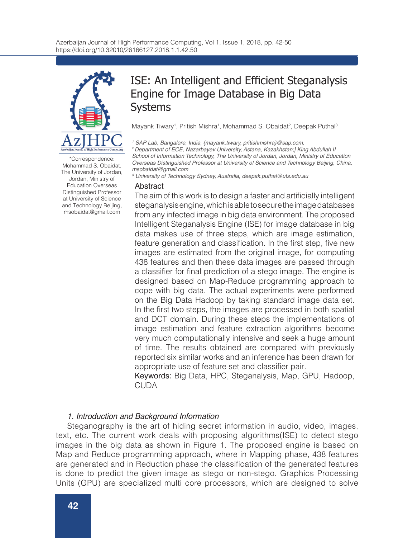

\*Correspondence: Mohammad S. Obaidat, The University of Jordan, Jordan, Ministry of Education Overseas Distinguished Professor at University of Science and Technology Beijing, msobaidat@gmail.com

# ISE: An Intelligent and Efficient Steganalysis Engine for Image Database in Big Data Systems

Mayank Tiwary<sup>1</sup>, Pritish Mishra<sup>1</sup>, Mohammad S. Obaidat<sup>2</sup>, Deepak Puthal<sup>s</sup>

*1 SAP Lab, Bangalore, India, {mayank.tiwary, pritishmishra}@sap.com,*

*2 Department of ECE, Nazarbayev University, Astana, Kazakhstan;] King Abdullah II School of Information Technology, The University of Jordan, Jordan, Ministry of Education Overseas Distinguished Professor at University of Science and Technology Beijing, China, msobaidat@gmail.com* 

*3 University of Technology Sydney, Australia, deepak.puthal@uts.edu.au*

### Abstract

The aim of this work is to design a faster and artificially intelligent steganalysis engine, which is able to secure the image databases from any infected image in big data environment. The proposed Intelligent Steganalysis Engine (ISE) for image database in big data makes use of three steps, which are image estimation, feature generation and classification. In the first step, five new images are estimated from the original image, for computing 438 features and then these data images are passed through a classifier for final prediction of a stego image. The engine is designed based on Map-Reduce programming approach to cope with big data. The actual experiments were performed on the Big Data Hadoop by taking standard image data set. In the first two steps, the images are processed in both spatial and DCT domain. During these steps the implementations of image estimation and feature extraction algorithms become very much computationally intensive and seek a huge amount of time. The results obtained are compared with previously reported six similar works and an inference has been drawn for appropriate use of feature set and classifier pair.

Keywords: Big Data, HPC, Steganalysis, Map, GPU, Hadoop, CUDA

# *1. Introduction and Background Information*

Steganography is the art of hiding secret information in audio, video, images, text, etc. The current work deals with proposing algorithms(ISE) to detect stego images in the big data as shown in Figure 1. The proposed engine is based on Map and Reduce programming approach, where in Mapping phase, 438 features are generated and in Reduction phase the classification of the generated features is done to predict the given image as stego or non-stego. Graphics Processing Units (GPU) are specialized multi core processors, which are designed to solve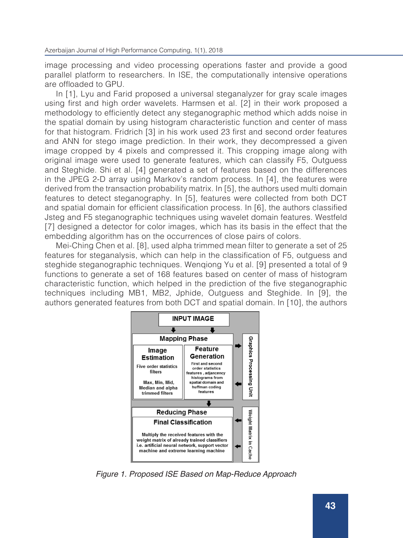image processing and video processing operations faster and provide a good parallel platform to researchers. In ISE, the computationally intensive operations are offloaded to GPU.

In [1], Lyu and Farid proposed a universal steganalyzer for gray scale images using first and high order wavelets. Harmsen et al. [2] in their work proposed a methodology to efficiently detect any steganographic method which adds noise in the spatial domain by using histogram characteristic function and center of mass for that histogram. Fridrich [3] in his work used 23 first and second order features and ANN for stego image prediction. In their work, they decompressed a given image cropped by 4 pixels and compressed it. This cropping image along with original image were used to generate features, which can classify F5, Outguess and Steghide. Shi et al. [4] generated a set of features based on the differences in the JPEG 2-D array using Markov's random process. In [4], the features were derived from the transaction probability matrix. In [5], the authors used multi domain features to detect steganography. In [5], features were collected from both DCT and spatial domain for efficient classification process. In [6], the authors classified Jsteg and F5 steganographic techniques using wavelet domain features. Westfeld [7] designed a detector for color images, which has its basis in the effect that the embedding algorithm has on the occurrences of close pairs of colors.

Mei-Ching Chen et al. [8], used alpha trimmed mean filter to generate a set of 25 features for steganalysis, which can help in the classification of F5, outguess and steghide steganographic techniques. Wenqiong Yu et al. [9] presented a total of 9 functions to generate a set of 168 features based on center of mass of histogram characteristic function, which helped in the prediction of the five steganographic techniques including MB1, MB2, Jphide, Outguess and Steghide. In [9], the authors generated features from both DCT and spatial domain. In [10], the authors



*Figure 1. Proposed ISE Based on Map-Reduce Approach*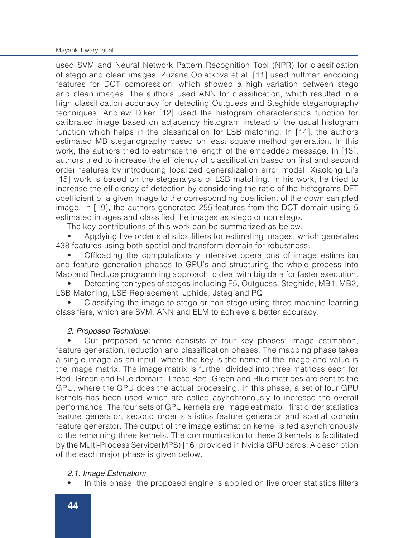used SVM and Neural Network Pattern Recognition Tool (NPR) for classification of stego and clean images. Zuzana Oplatkova et al. [11] used huffman encoding features for DCT compression, which showed a high variation between stego and clean images. The authors used ANN for classification, which resulted in a high classification accuracy for detecting Outguess and Steghide steganography techniques. Andrew D.ker [12] used the histogram characteristics function for calibrated image based on adjacency histogram instead of the usual histogram function which helps in the classification for LSB matching. In [14], the authors estimated MB steganography based on least square method generation. In this work, the authors tried to estimate the length of the embedded message. In [13], authors tried to increase the efficiency of classification based on first and second order features by introducing localized generalization error model. Xiaolong Li's [15] work is based on the steganalysis of LSB matching. In his work, he tried to increase the efficiency of detection by considering the ratio of the histograms DFT coefficient of a given image to the corresponding coefficient of the down sampled image. In [19], the authors generated 255 features from the DCT domain using 5 estimated images and classified the images as stego or non stego.

The key contributions of this work can be summarized as below.

• Applying five order statistics filters for estimating images, which generates 438 features using both spatial and transform domain for robustness.

• Offloading the computationally intensive operations of image estimation and feature generation phases to GPU's and structuring the whole process into Map and Reduce programming approach to deal with big data for faster execution.

• Detecting ten types of stegos including F5, Outguess, Steghide, MB1, MB2, LSB Matching, LSB Replacement, Jphide, Jsteg and PQ.

• Classifying the image to stego or non-stego using three machine learning classifiers, which are SVM, ANN and ELM to achieve a better accuracy.

# *2. Proposed Technique:*

• Our proposed scheme consists of four key phases: image estimation, feature generation, reduction and classification phases. The mapping phase takes a single image as an input, where the key is the name of the image and value is the image matrix. The image matrix is further divided into three matrices each for Red, Green and Blue domain. These Red, Green and Blue matrices are sent to the GPU, where the GPU does the actual processing. In this phase, a set of four GPU kernels has been used which are called asynchronously to increase the overall performance. The four sets of GPU kernels are image estimator, first order statistics feature generator, second order statistics feature generator and spatial domain feature generator. The output of the image estimation kernel is fed asynchronously to the remaining three kernels. The communication to these 3 kernels is facilitated by the Multi-Process Service(MPS) [16] provided in Nvidia GPU cards. A description of the each major phase is given below.

# *2.1. Image Estimation:*

In this phase, the proposed engine is applied on five order statistics filters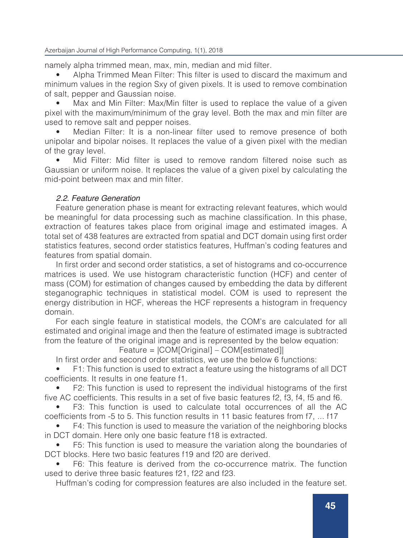Azerbaijan Journal of High Performance Computing, 1(1), 2018

namely alpha trimmed mean, max, min, median and mid filter.

• Alpha Trimmed Mean Filter: This filter is used to discard the maximum and minimum values in the region Sxy of given pixels. It is used to remove combination of salt, pepper and Gaussian noise.

Max and Min Filter: Max/Min filter is used to replace the value of a given pixel with the maximum/minimum of the gray level. Both the max and min filter are used to remove salt and pepper noises.

• Median Filter: It is a non-linear filter used to remove presence of both unipolar and bipolar noises. It replaces the value of a given pixel with the median of the gray level.

• Mid Filter: Mid filter is used to remove random filtered noise such as Gaussian or uniform noise. It replaces the value of a given pixel by calculating the mid-point between max and min filter.

# *2.2. Feature Generation*

Feature generation phase is meant for extracting relevant features, which would be meaningful for data processing such as machine classification. In this phase, extraction of features takes place from original image and estimated images. A total set of 438 features are extracted from spatial and DCT domain using first order statistics features, second order statistics features, Huffman's coding features and features from spatial domain.

In first order and second order statistics, a set of histograms and co-occurrence matrices is used. We use histogram characteristic function (HCF) and center of mass (COM) for estimation of changes caused by embedding the data by different steganographic techniques in statistical model. COM is used to represent the energy distribution in HCF, whereas the HCF represents a histogram in frequency domain.

For each single feature in statistical models, the COM's are calculated for all estimated and original image and then the feature of estimated image is subtracted from the feature of the original image and is represented by the below equation:

Feature = |COM[Original] – COM[estimated]|

In first order and second order statistics, we use the below 6 functions:

• F1: This function is used to extract a feature using the histograms of all DCT coefficients. It results in one feature f1.

• F2: This function is used to represent the individual histograms of the first five AC coefficients. This results in a set of five basic features f2, f3, f4, f5 and f6.

• F3: This function is used to calculate total occurrences of all the AC coefficients from -5 to 5. This function results in 11 basic features from f7, ... f17

F4: This function is used to measure the variation of the neighboring blocks in DCT domain. Here only one basic feature f18 is extracted.

• F5: This function is used to measure the variation along the boundaries of DCT blocks. Here two basic features f19 and f20 are derived.

• F6: This feature is derived from the co-occurrence matrix. The function used to derive three basic features f21, f22 and f23.

Huffman's coding for compression features are also included in the feature set.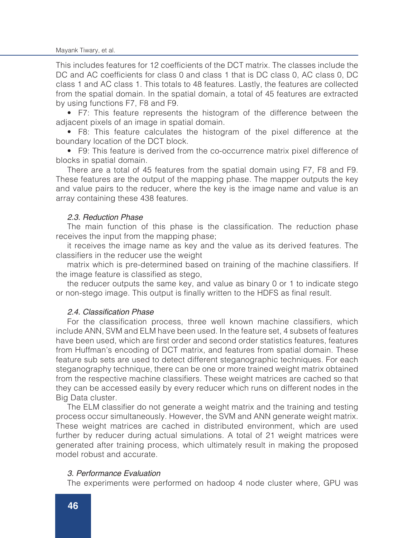This includes features for 12 coefficients of the DCT matrix. The classes include the DC and AC coefficients for class 0 and class 1 that is DC class 0, AC class 0, DC class 1 and AC class 1. This totals to 48 features. Lastly, the features are collected from the spatial domain. In the spatial domain, a total of 45 features are extracted by using functions F7, F8 and F9.

• F7: This feature represents the histogram of the difference between the adjacent pixels of an image in spatial domain.

• F8: This feature calculates the histogram of the pixel difference at the boundary location of the DCT block.

• F9: This feature is derived from the co-occurrence matrix pixel difference of blocks in spatial domain.

There are a total of 45 features from the spatial domain using F7, F8 and F9. These features are the output of the mapping phase. The mapper outputs the key and value pairs to the reducer, where the key is the image name and value is an array containing these 438 features.

#### *2.3. Reduction Phase*

The main function of this phase is the classification. The reduction phase receives the input from the mapping phase;

it receives the image name as key and the value as its derived features. The classifiers in the reducer use the weight

matrix which is pre-determined based on training of the machine classifiers. If the image feature is classified as stego,

the reducer outputs the same key, and value as binary 0 or 1 to indicate stego or non-stego image. This output is finally written to the HDFS as final result.

## 2.4. Classification Phase

For the classification process, three well known machine classifiers, which include ANN, SVM and ELM have been used. In the feature set, 4 subsets of features have been used, which are first order and second order statistics features, features from Huffman's encoding of DCT matrix, and features from spatial domain. These feature sub sets are used to detect different steganographic techniques. For each steganography technique, there can be one or more trained weight matrix obtained from the respective machine classifiers. These weight matrices are cached so that they can be accessed easily by every reducer which runs on different nodes in the Big Data cluster.

The ELM classifier do not generate a weight matrix and the training and testing process occur simultaneously. However, the SVM and ANN generate weight matrix. These weight matrices are cached in distributed environment, which are used further by reducer during actual simulations. A total of 21 weight matrices were generated after training process, which ultimately result in making the proposed model robust and accurate.

## *3. Performance Evaluation*

The experiments were performed on hadoop 4 node cluster where, GPU was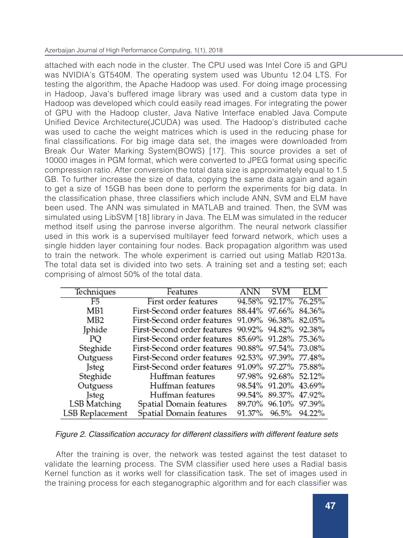attached with each node in the cluster. The CPU used was Intel Core i5 and GPU was NVIDIA's GT540M. The operating system used was Ubuntu 12.04 LTS. For testing the algorithm, the Apache Hadoop was used. For doing image processing in Hadoop, Java's buffered image library was used and a custom data type in Hadoop was developed which could easily read images. For integrating the power of GPU with the Hadoop cluster, Java Native Interface enabled Java Compute Unified Device Architecture(JCUDA) was used. The Hadoop's distributed cache was used to cache the weight matrices which is used in the reducing phase for final classifications. For big image data set, the images were downloaded from Break Our Water Marking System(BOWS) [17]. This source provides a set of 10000 images in PGM format, which were converted to JPEG format using specific compression ratio. After conversion the total data size is approximately equal to 1.5 GB. To further increase the size of data, copying the same data again and again to get a size of 15GB has been done to perform the experiments for big data. In the classification phase, three classifiers which include ANN, SVM and ELM have been used. The ANN was simulated in MATLAB and trained. Then, the SVM was simulated using LibSVM [18] library in Java. The ELM was simulated in the reducer method itself using the panrose inverse algorithm. The neural network classifier used in this work is a supervised multilayer feed forward network, which uses a single hidden layer containing four nodes. Back propagation algorithm was used to train the network. The whole experiment is carried out using Matlab R2013a. The total data set is divided into two sets. A training set and a testing set; each comprising of almost 50% of the total data.

| Techniques      | Features                                         | <b>SVM</b>           | ELM |
|-----------------|--------------------------------------------------|----------------------|-----|
| F5              | First order features                             | 94.58% 92.17% 76.25% |     |
| MB1             | First-Second order features 88.44% 97.66% 84.36% |                      |     |
| MB <sub>2</sub> | First-Second order features 91.09% 96.38% 82.05% |                      |     |
| Jphide          | First-Second order features 90.92% 94.82% 92.38% |                      |     |
| PQ              | First-Second order features 85.69% 91.28% 75.36% |                      |     |
| Steghide        | First-Second order features 90.88% 97.54% 73.08% |                      |     |
| Outguess        | First-Second order features 92.53% 97.39% 77.48% |                      |     |
| Jsteg           | First-Second order features 91.09% 97.27% 75.88% |                      |     |
| Steghide        | Huffman features                                 | 97.98% 92.68% 52.12% |     |
| Outguess        | Huffman features                                 | 98.54% 91.20% 43.69% |     |
| <b>J</b> steg   | Huffman features                                 | 99.54% 89.37% 47.92% |     |
| LSB Matching    | Spatial Domain features                          | 89.70% 96.10% 97.39% |     |
| LSB Replacement | Spatial Domain features                          | 91.37% 96.5% 94.22%  |     |

## Figure 2. Classification accuracy for different classifiers with different feature sets

After the training is over, the network was tested against the test dataset to validate the learning process. The SVM classifier used here uses a Radial basis Kernel function as it works well for classification task. The set of images used in the training process for each steganographic algorithm and for each classifier was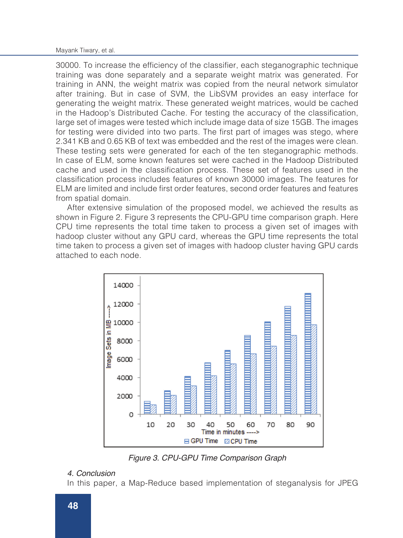Mayank Tiwary, et al.

30000. To increase the efficiency of the classifier, each steganographic technique training was done separately and a separate weight matrix was generated. For training in ANN, the weight matrix was copied from the neural network simulator after training. But in case of SVM, the LibSVM provides an easy interface for generating the weight matrix. These generated weight matrices, would be cached in the Hadoop's Distributed Cache. For testing the accuracy of the classification, large set of images were tested which include image data of size 15GB. The images for testing were divided into two parts. The first part of images was stego, where 2.341 KB and 0.65 KB of text was embedded and the rest of the images were clean. These testing sets were generated for each of the ten steganographic methods. In case of ELM, some known features set were cached in the Hadoop Distributed cache and used in the classification process. These set of features used in the classification process includes features of known 30000 images. The features for ELM are limited and include first order features, second order features and features from spatial domain.

After extensive simulation of the proposed model, we achieved the results as shown in Figure 2. Figure 3 represents the CPU-GPU time comparison graph. Here CPU time represents the total time taken to process a given set of images with hadoop cluster without any GPU card, whereas the GPU time represents the total time taken to process a given set of images with hadoop cluster having GPU cards attached to each node.



*Figure 3. CPU-GPU Time Comparison Graph* 

# *4. Conclusion*

In this paper, a Map-Reduce based implementation of steganalysis for JPEG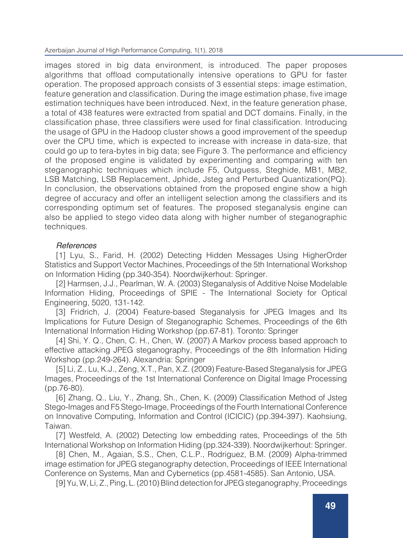Azerbaijan Journal of High Performance Computing, 1(1), 2018

images stored in big data environment, is introduced. The paper proposes algorithms that offload computationally intensive operations to GPU for faster operation. The proposed approach consists of 3 essential steps: image estimation, feature generation and classification. During the image estimation phase, five image estimation techniques have been introduced. Next, in the feature generation phase, a total of 438 features were extracted from spatial and DCT domains. Finally, in the classification phase, three classifiers were used for final classification. Introducing the usage of GPU in the Hadoop cluster shows a good improvement of the speedup over the CPU time, which is expected to increase with increase in data-size, that could go up to tera-bytes in big data; see Figure 3. The performance and efficiency of the proposed engine is validated by experimenting and comparing with ten steganographic techniques which include F5, Outguess, Steghide, MB1, MB2, LSB Matching, LSB Replacement, Jphide, Jsteg and Perturbed Quantization(PQ). In conclusion, the observations obtained from the proposed engine show a high degree of accuracy and offer an intelligent selection among the classifiers and its corresponding optimum set of features. The proposed steganalysis engine can also be applied to stego video data along with higher number of steganographic techniques.

## *References*

[1] Lyu, S., Farid, H. (2002) Detecting Hidden Messages Using HigherOrder Statistics and Support Vector Machines, Proceedings of the 5th International Workshop on Information Hiding (pp.340-354). Noordwijkerhout: Springer.

[2] Harmsen, J.J., Pearlman, W. A. (2003) Steganalysis of Additive Noise Modelable Information Hiding, Proceedings of SPIE - The International Society for Optical Engineering, 5020, 131-142.

[3] Fridrich, J. (2004) Feature-based Steganalysis for JPEG Images and Its Implications for Future Design of Steganographic Schemes, Proceedings of the 6th International Information Hiding Workshop (pp.67-81). Toronto: Springer

[4] Shi, Y. Q., Chen, C. H., Chen, W. (2007) A Markov process based approach to effective attacking JPEG steganography, Proceedings of the 8th Information Hiding Workshop (pp.249-264). Alexandria: Springer

[5] Li, Z., Lu, K.J., Zeng, X.T., Pan, X.Z. (2009) Feature-Based Steganalysis for JPEG Images, Proceedings of the 1st International Conference on Digital Image Processing (pp.76-80).

[6] Zhang, Q., Liu, Y., Zhang, Sh., Chen, K. (2009) Classification Method of Jsteg Stego-Images and F5 Stego-Image, Proceedings of the Fourth International Conference on Innovative Computing, Information and Control (ICICIC) (pp.394-397). Kaohsiung, Taiwan.

[7] Westfeld, A. (2002) Detecting low embedding rates, Proceedings of the 5th International Workshop on Information Hiding (pp.324-339). Noordwijkerhout: Springer.

[8] Chen, M., Agaian, S.S., Chen, C.L.P., Rodriguez, B.M. (2009) Alpha-trimmed image estimation for JPEG steganography detection, Proceedings of IEEE International Conference on Systems, Man and Cybernetics (pp.4581-4585). San Antonio, USA.

[9] Yu, W, Li, Z., Ping, L. (2010) Blind detection for JPEG steganography, Proceedings